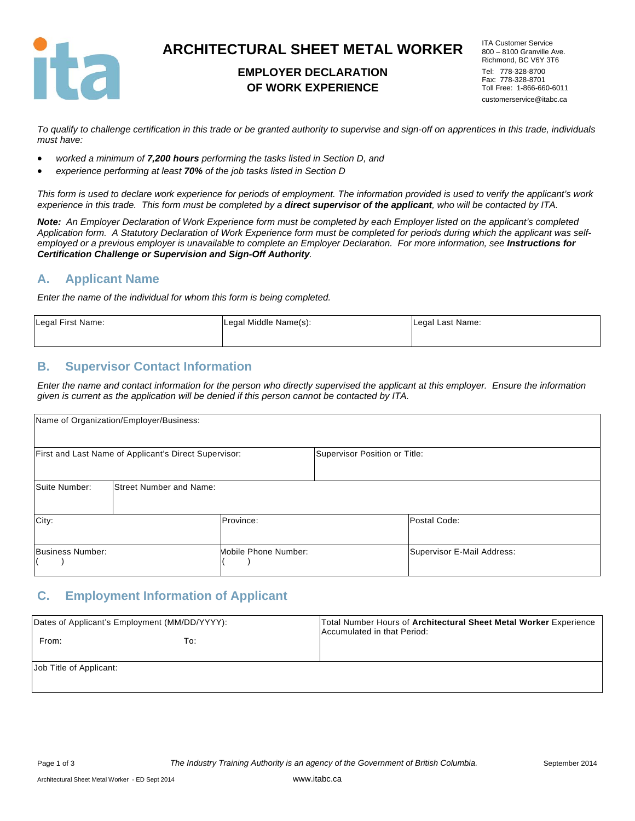

# **ARCHITECTURAL SHEET METAL WORKER**

# **EMPLOYER DECLARATION OF WORK EXPERIENCE**

ITA Customer Service 800 – 8100 Granville Ave. Richmond, BC V6Y 3T6 Tel: 778-328-8700 Fax: 778-328-8701 Toll Free: 1-866-660-6011 customerservice@itabc.ca

*To qualify to challenge certification in this trade or be granted authority to supervise and sign-off on apprentices in this trade, individuals must have:* 

- *worked a minimum of 7,200 hours performing the tasks listed in Section D, and*
- *experience performing at least 70% of the job tasks listed in Section D*

*This form is used to declare work experience for periods of employment. The information provided is used to verify the applicant's work experience in this trade. This form must be completed by a direct supervisor of the applicant, who will be contacted by ITA.* 

*Note: An Employer Declaration of Work Experience form must be completed by each Employer listed on the applicant's completed Application form. A Statutory Declaration of Work Experience form must be completed for periods during which the applicant was self*employed or a previous employer is unavailable to complete an Employer Declaration. For more information, see **Instructions for** *Certification Challenge or Supervision and Sign-Off Authority.* 

### **A. Applicant Name**

*Enter the name of the individual for whom this form is being completed.* 

| Legal First Name: | Legal Middle Name(s): | Legal Last Name: |
|-------------------|-----------------------|------------------|
|                   |                       |                  |

## **B. Supervisor Contact Information**

*Enter the name and contact information for the person who directly supervised the applicant at this employer. Ensure the information given is current as the application will be denied if this person cannot be contacted by ITA.* 

| Name of Organization/Employer/Business: |                                                       |                      |                               |                            |
|-----------------------------------------|-------------------------------------------------------|----------------------|-------------------------------|----------------------------|
|                                         | First and Last Name of Applicant's Direct Supervisor: |                      | Supervisor Position or Title: |                            |
| Suite Number:                           | <b>Street Number and Name:</b>                        |                      |                               |                            |
| City:                                   |                                                       | Province:            |                               | Postal Code:               |
| Business Number:                        |                                                       | Mobile Phone Number: |                               | Supervisor E-Mail Address: |

### **C. Employment Information of Applicant**

| Dates of Applicant's Employment (MM/DD/YYYY): |     | Total Number Hours of Architectural Sheet Metal Worker Experience<br>Accumulated in that Period: |
|-----------------------------------------------|-----|--------------------------------------------------------------------------------------------------|
| From:                                         | To: |                                                                                                  |
| Job Title of Applicant:                       |     |                                                                                                  |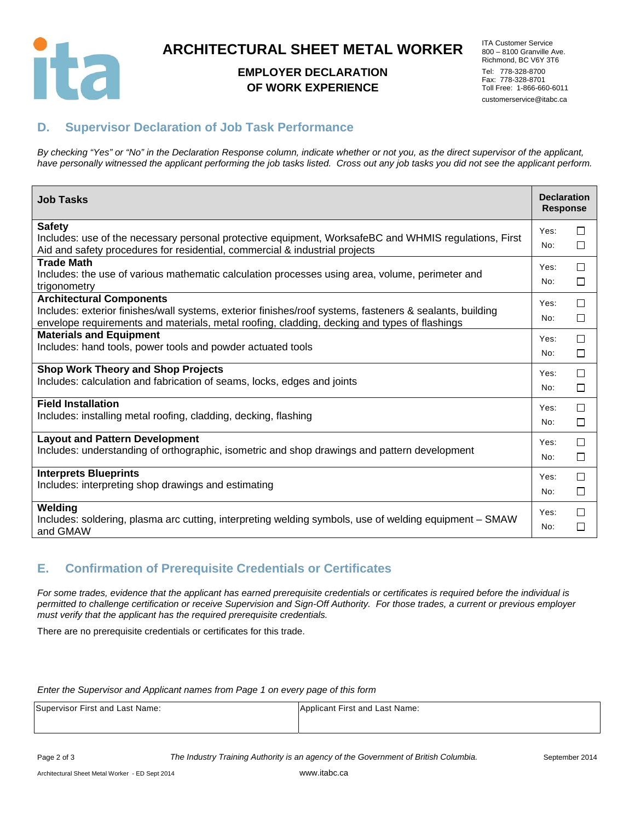

# **ARCHITECTURAL SHEET METAL WORKER**

## **EMPLOYER DECLARATION OF WORK EXPERIENCE**

ITA Customer Service 800 – 8100 Granville Ave. Richmond, BC V6Y 3T6 Tel: 778-328-8700 Fax: 778-328-8701 Toll Free: 1-866-660-6011 customerservice@itabc.ca

# **D. Supervisor Declaration of Job Task Performance**

*By checking "Yes" or "No" in the Declaration Response column, indicate whether or not you, as the direct supervisor of the applicant, have personally witnessed the applicant performing the job tasks listed. Cross out any job tasks you did not see the applicant perform.* 

| <b>Job Tasks</b>                                                                                                   | <b>Declaration</b><br><b>Response</b> |        |
|--------------------------------------------------------------------------------------------------------------------|---------------------------------------|--------|
| <b>Safety</b>                                                                                                      | Yes:                                  | П      |
| Includes: use of the necessary personal protective equipment, WorksafeBC and WHMIS regulations, First              | No:                                   | □      |
| Aid and safety procedures for residential, commercial & industrial projects                                        |                                       |        |
| <b>Trade Math</b>                                                                                                  | Yes:                                  | □      |
| Includes: the use of various mathematic calculation processes using area, volume, perimeter and<br>trigonometry    | No:                                   | □      |
| <b>Architectural Components</b>                                                                                    | Yes:                                  | П      |
| Includes: exterior finishes/wall systems, exterior finishes/roof systems, fasteners & sealants, building           | No:                                   |        |
| envelope requirements and materials, metal roofing, cladding, decking and types of flashings                       |                                       | $\Box$ |
| <b>Materials and Equipment</b>                                                                                     | Yes:                                  | □      |
| Includes: hand tools, power tools and powder actuated tools                                                        | No:                                   | П      |
| <b>Shop Work Theory and Shop Projects</b>                                                                          | Yes:                                  | □      |
| Includes: calculation and fabrication of seams, locks, edges and joints                                            | No:                                   | □      |
|                                                                                                                    |                                       |        |
| <b>Field Installation</b>                                                                                          | Yes:                                  | П      |
| Includes: installing metal roofing, cladding, decking, flashing                                                    | No:                                   | □      |
| <b>Layout and Pattern Development</b>                                                                              | Yes:                                  | П      |
| Includes: understanding of orthographic, isometric and shop drawings and pattern development                       | No:                                   | □      |
| <b>Interprets Blueprints</b>                                                                                       | Yes:                                  | □      |
| Includes: interpreting shop drawings and estimating                                                                |                                       |        |
|                                                                                                                    | No:                                   | □      |
| Welding                                                                                                            | Yes:                                  | П      |
| Includes: soldering, plasma arc cutting, interpreting welding symbols, use of welding equipment - SMAW<br>and GMAW | No:                                   | □      |

# **E. Confirmation of Prerequisite Credentials or Certificates**

*For some trades, evidence that the applicant has earned prerequisite credentials or certificates is required before the individual is permitted to challenge certification or receive Supervision and Sign-Off Authority. For those trades, a current or previous employer must verify that the applicant has the required prerequisite credentials.* 

There are no prerequisite credentials or certificates for this trade.

#### *Enter the Supervisor and Applicant names from Page 1 on every page of this form*

| Supervisor First and Last Name: | Applicant First and Last Name: |
|---------------------------------|--------------------------------|
|                                 |                                |

Page 2 of 3 *The Industry Training Authority is an agency of the Government of British Columbia.* September 2014